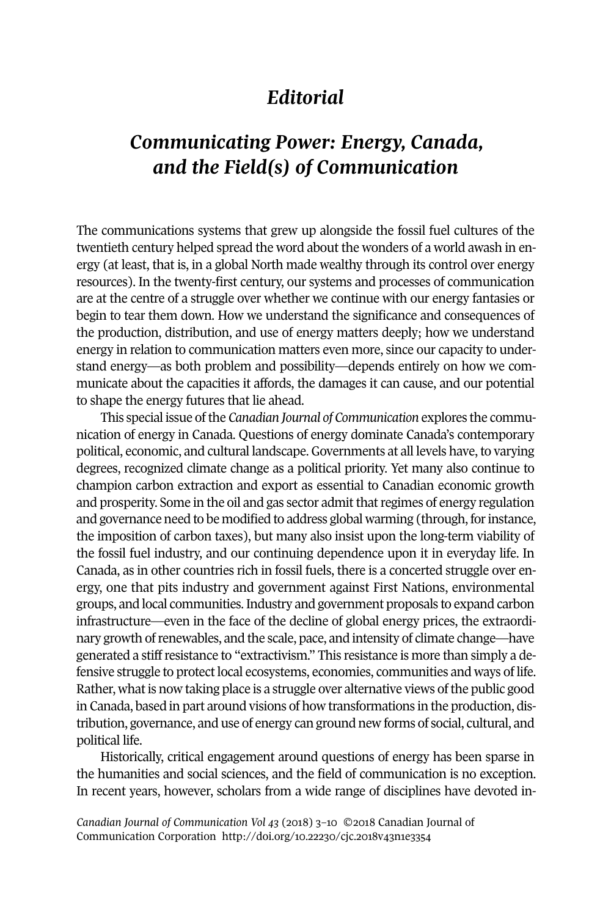## *Editorial*

## *Communicating Power: Energy, Canada, and the Field(s) of Communication*

The communications systems that grew up alongside the fossil fuel cultures of the twentieth century helped spread the word about the wonders of a world awash in energy (at least, that is, in a global North made wealthy through its control over energy resources). In the twenty-first century, our systems and processes of communication are at the centre of a struggle over whether we continue with our energy fantasies or begin to tear them down. How we understand the significance and consequences of the production, distribution, and use of energy matters deeply; how we understand energy in relation to communication matters even more, since our capacity to understand energy—as both problem and possibility—depends entirely on how we communicate about the capacities it affords, the damages it can cause, and our potential to shape the energy futures that lie ahead.

This special issue ofthe *Canadian Journal of Communication* explores the communication of energy in Canada. Questions of energy dominate Canada's contemporary political, economic, and cultural landscape. Governments at all levels have, to varying degrees, recognized climate change as a political priority. Yet many also continue to champion carbon extraction and export as essential to Canadian economic growth and prosperity. Some in the oil and gas sector admit that regimes of energy regulation and governance need to be modified to address global warming (through, forinstance, the imposition of carbon taxes), but many also insist upon the long-term viability of the fossil fuel industry, and our continuing dependence upon it in everyday life. In Canada, as in other countries rich in fossil fuels, there is a concerted struggle over energy, one that pits industry and government against First Nations, environmental groups, and local communities.Industry and government proposals to expand carbon infrastructure—even in the face of the decline of global energy prices, the extraordinary growth of renewables, and the scale, pace, and intensity of climate change—have generated a stiffresistance to "extractivism." This resistance is more than simply a defensive struggle to protect local ecosystems, economies, communities and ways of life. Rather, what is now taking place is a struggle over alternative views of the public good in Canada, based in part around visions of how transformations in the production, distribution, governance, and use of energy can ground new forms of social, cultural, and political life.

Historically, critical engagement around questions of energy has been sparse in the humanities and social sciences, and the field of communication is no exception. In recent years, however, scholars from a wide range of disciplines have devoted in-

*Canadian Journal of [Communication](http://www.cjc-online.ca) Vol 43* (2018) 3–10 ©2018 Canadian Journal of Communication Corporation <http://doi.org/10.22230/cjc.2018v43n1e3354>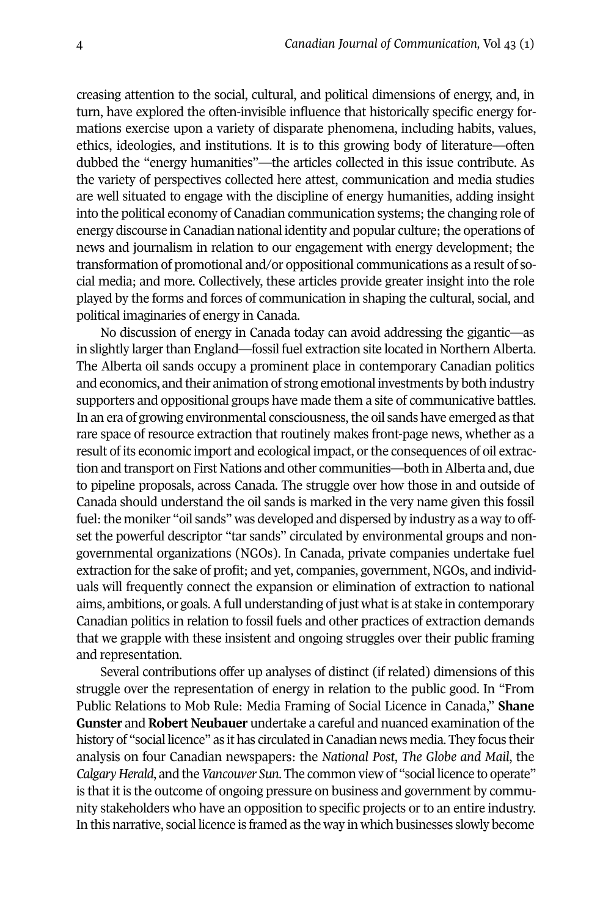creasing attention to the social, cultural, and political dimensions of energy, and, in turn, have explored the often-invisible influence that historically specific energy formations exercise upon a variety of disparate phenomena, including habits, values, ethics, ideologies, and institutions. It is to this growing body of literature—often dubbed the "energy humanities"—the articles collected in this issue contribute. As the variety of perspectives collected here attest, communication and media studies are well situated to engage with the discipline of energy humanities, adding insight into the political economy of Canadian communication systems; the changing role of energy discourse in Canadian national identity and popular culture; the operations of news and journalism in relation to our engagement with energy development; the transformation of promotional and/or oppositional communications as a result of social media; and more. Collectively, these articles provide greater insight into the role played by the forms and forces of communication in shaping the cultural, social, and political imaginaries of energy in Canada.

No discussion of energy in Canada today can avoid addressing the gigantic—as in slightly larger than England—fossil fuel extraction site located in Northern Alberta. The Alberta oil sands occupy a prominent place in contemporary Canadian politics and economics, and their animation of strong emotional investments by both industry supporters and oppositional groups have made them a site of communicative battles. In an era of growing environmental consciousness, the oil sands have emerged as that rare space of resource extraction that routinely makes front-page news, whether as a result of its economic import and ecological impact, orthe consequences of oil extraction and transport on First Nations and other communities—both in Alberta and, due to pipeline proposals, across Canada. The struggle over how those in and outside of Canada should understand the oil sands is marked in the very name given this fossil fuel: the moniker "oil sands" was developed and dispersed by industry as a way to offset the powerful descriptor "tar sands" circulated by environmental groups and nongovernmental organizations (NGOs). In Canada, private companies undertake fuel extraction for the sake of profit; and yet, companies, government, NGOs, and individuals will frequently connect the expansion or elimination of extraction to national aims, ambitions, or goals. A full understanding of just what is at stake in contemporary Canadian politics in relation to fossil fuels and other practices of extraction demands that we grapple with these insistent and ongoing struggles over their public framing and representation.

Several contributions offer up analyses of distinct (if related) dimensions of this struggle over the representation of energy in relation to the public good. In "From Public Relations to Mob Rule: Media Framing of Social Licence in Canada," **Shane Gunster** and **Robert Neubauer** undertake a careful and nuanced examination of the history of "social licence" as it has circulated in Canadian news media. They focus their analysis on four Canadian newspapers: the *National Post*, *The Globe and Mail*, the *Calgary Herald*, and the*Vancouver Sun*. The common view of "social licence to operate" is that it is the outcome of ongoing pressure on business and government by community stakeholders who have an opposition to specific projects or to an entire industry. In this narrative, social licence is framed as the way in which businesses slowly become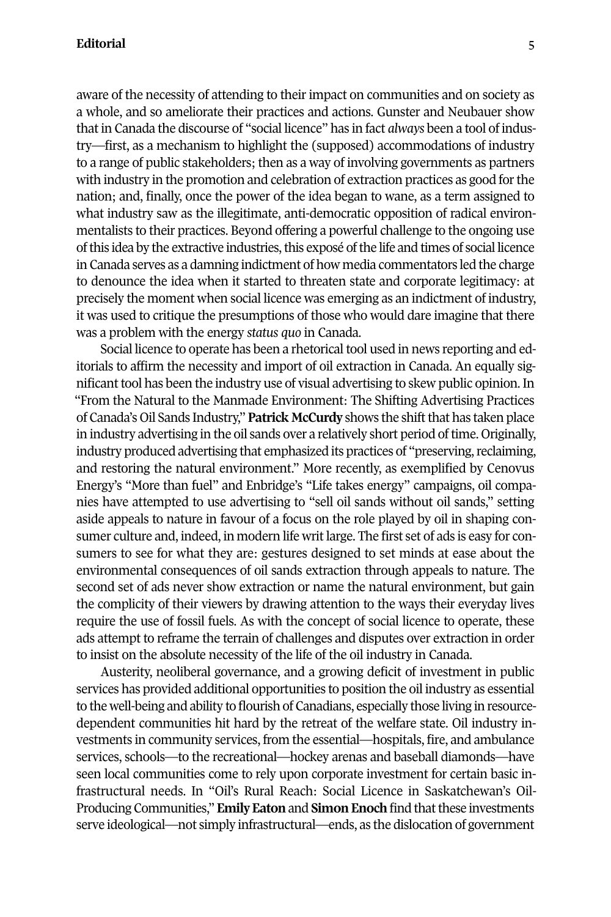aware of the necessity of attending to their impact on communities and on society as a whole, and so ameliorate their practices and actions. Gunster and Neubauer show that in Canada the discourse of "social licence" has in fact *always* been a tool of industry—first, as a mechanism to highlight the (supposed) accommodations of industry to a range of public stakeholders; then as a way of involving governments as partners with industry in the promotion and celebration of extraction practices as good forthe nation; and, finally, once the power of the idea began to wane, as a term assigned to what industry saw as the illegitimate, anti-democratic opposition of radical environmentalists to their practices. Beyond offering a powerful challenge to the ongoing use of this idea by the extractive industries, this exposé of the life and times of social licence in Canada serves as a damning indictment of how media commentators led the charge to denounce the idea when it started to threaten state and corporate legitimacy: at precisely the moment when social licence was emerging as an indictment of industry, it was used to critique the presumptions of those who would dare imagine that there was a problem with the energy *status quo* in Canada.

Social licence to operate has been a rhetorical tool used in news reporting and editorials to affirm the necessity and import of oil extraction in Canada. An equally significanttool has been the industry use of visual advertising to skew public opinion. In "From the Natural to the Manmade Environment: The Shifting Advertising Practices of Canada's Oil Sands Industry," **Patrick McCurdy** shows the shiftthat has taken place in industry advertising in the oil sands over a relatively short period of time. Originally, industry produced advertising that emphasized its practices of "preserving, reclaiming, and restoring the natural environment." More recently, as exemplified by Cenovus Energy's "More than fuel" and Enbridge's "Life takes energy" campaigns, oil companies have attempted to use advertising to "sell oil sands without oil sands," setting aside appeals to nature in favour of a focus on the role played by oil in shaping consumer culture and, indeed, in modern life writlarge. The first set of ads is easy for consumers to see for what they are: gestures designed to set minds at ease about the environmental consequences of oil sands extraction through appeals to nature. The second set of ads never show extraction or name the natural environment, but gain the complicity of their viewers by drawing attention to the ways their everyday lives require the use of fossil fuels. As with the concept of social licence to operate, these ads attempt to reframe the terrain of challenges and disputes over extraction in order to insist on the absolute necessity of the life of the oil industry in Canada.

Austerity, neoliberal governance, and a growing deficit of investment in public services has provided additional opportunities to position the oil industry as essential to the well-being and ability to flourish of Canadians, especially those living in resourcedependent communities hit hard by the retreat of the welfare state. Oil industry investments in community services, from the essential—hospitals, fire, and ambulance services, schools—to the recreational—hockey arenas and baseball diamonds—have seen local communities come to rely upon corporate investment for certain basic infrastructural needs. In "Oil's Rural Reach: Social Licence in Saskatchewan's Oil-Producing Communities," **Emily Eaton** and **Simon Enoch** find thatthese investments serve ideological—not simply infrastructural—ends, as the dislocation of government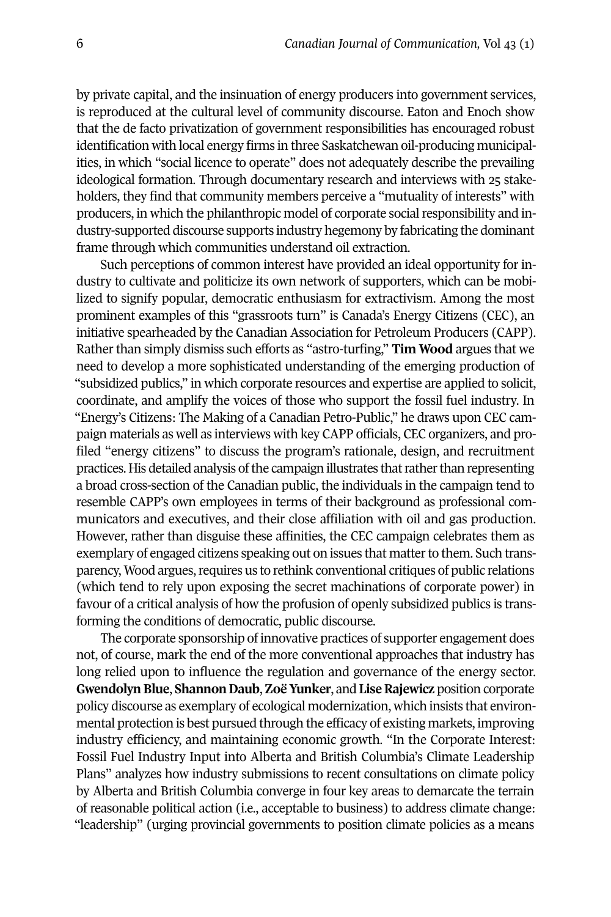by private capital, and the insinuation of energy producers into government services, is reproduced at the cultural level of community discourse. Eaton and Enoch show that the de facto privatization of government responsibilities has encouraged robust identification with local energy firms in three Saskatchewan oil-producing municipalities, in which "social licence to operate" does not adequately describe the prevailing ideological formation. Through documentary research and interviews with 25 stakeholders, they find that community members perceive a "mutuality of interests" with producers, in which the philanthropic model of corporate social responsibility and industry-supported discourse supports industry hegemony by fabricating the dominant frame through which communities understand oil extraction.

Such perceptions of common interest have provided an ideal opportunity for industry to cultivate and politicize its own network of supporters, which can be mobilized to signify popular, democratic enthusiasm for extractivism. Among the most prominent examples of this "grassroots turn" is Canada's Energy Citizens (CEC), an initiative spearheaded by the Canadian Association for Petroleum Producers (CAPP). Rather than simply dismiss such efforts as "astro-turfing," **Tim Wood** argues that we need to develop a more sophisticated understanding of the emerging production of "subsidized publics," in which corporate resources and expertise are applied to solicit, coordinate, and amplify the voices of those who support the fossil fuel industry. In "Energy's Citizens: The Making of a Canadian Petro-Public," he draws upon CEC campaign materials as well as interviews with key CAPP officials, CEC organizers, and profiled "energy citizens" to discuss the program's rationale, design, and recruitment practices. His detailed analysis of the campaign illustrates that rather than representing a broad cross-section of the Canadian public, the individuals in the campaign tend to resemble CAPP's own employees in terms of their background as professional communicators and executives, and their close affiliation with oil and gas production. However, rather than disguise these affinities, the CEC campaign celebrates them as exemplary of engaged citizens speaking out on issues that matter to them. Such transparency, Wood argues, requires us to rethink conventional critiques of public relations (which tend to rely upon exposing the secret machinations of corporate power) in favour of a critical analysis of how the profusion of openly subsidized publics is transforming the conditions of democratic, public discourse.

The corporate sponsorship of innovative practices of supporter engagement does not, of course, mark the end of the more conventional approaches that industry has long relied upon to influence the regulation and governance of the energy sector. **GwendolynBlue**, **ShannonDaub**,**ZoëYunker**, and **LiseRajewicz** position corporate policy discourse as exemplary of ecological modernization, which insists that environmental protection is best pursued through the efficacy of existing markets, improving industry efficiency, and maintaining economic growth. "In the Corporate Interest: Fossil Fuel Industry Input into Alberta and British Columbia's Climate Leadership Plans" analyzes how industry submissions to recent consultations on climate policy by Alberta and British Columbia converge in four key areas to demarcate the terrain of reasonable political action (i.e., acceptable to business) to address climate change: "leadership" (urging provincial governments to position climate policies as a means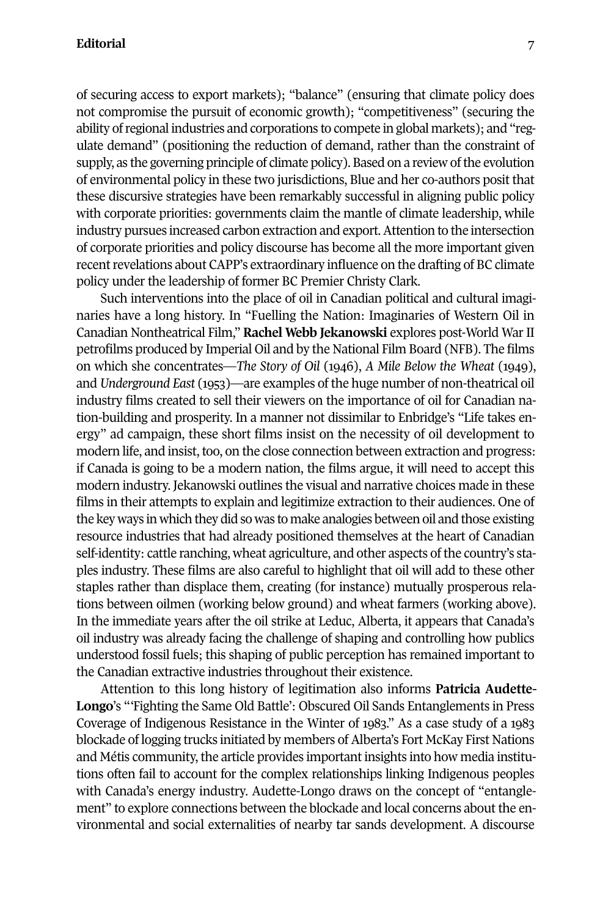of securing access to export markets); "balance" (ensuring that climate policy does not compromise the pursuit of economic growth); "competitiveness" (securing the ability of regional industries and corporations to compete in global markets); and "regulate demand" (positioning the reduction of demand, rather than the constraint of supply, as the governing principle of climate policy). Based on a review of the evolution of environmental policy in these two jurisdictions, Blue and her co-authors posit that these discursive strategies have been remarkably successful in aligning public policy with corporate priorities: governments claim the mantle of climate leadership, while industry pursues increased carbon extraction and export.Attention to the intersection of corporate priorities and policy discourse has become all the more important given recentrevelations about CAPP's extraordinary influence on the drafting of BC climate policy under the leadership of former BC Premier Christy Clark.

Such interventions into the place of oil in Canadian political and cultural imaginaries have a long history. In "Fuelling the Nation: Imaginaries of Western Oil in Canadian Nontheatrical Film," **Rachel Webb Jekanowski** explores post-World War II petrofilms produced by Imperial Oil and by the National Film Board (NFB). The films on which she concentrates—*The Story of Oil* (1946), *A Mile Below the Wheat* (1949), and *Underground East* (1953)—are examples of the huge number of non-theatrical oil industry films created to sell their viewers on the importance of oil for Canadian nation-building and prosperity. In a manner not dissimilar to Enbridge's "Life takes energy" ad campaign, these short films insist on the necessity of oil development to modern life, and insist, too, on the close connection between extraction and progress: if Canada is going to be a modern nation, the films argue, it will need to accept this modern industry. Jekanowski outlines the visual and narrative choices made in these films in their attempts to explain and legitimize extraction to their audiences. One of the key ways in which they did so was to make analogies between oil and those existing resource industries that had already positioned themselves at the heart of Canadian self-identity: cattle ranching, wheat agriculture, and other aspects of the country's staples industry. These films are also careful to highlight that oil will add to these other staples rather than displace them, creating (for instance) mutually prosperous relations between oilmen (working below ground) and wheat farmers (working above). In the immediate years after the oil strike at Leduc, Alberta, it appears that Canada's oil industry was already facing the challenge of shaping and controlling how publics understood fossil fuels; this shaping of public perception has remained important to the Canadian extractive industries throughout their existence.

Attention to this long history of legitimation also informs **Patricia Audette-Longo**'s "'Fighting the Same Old Battle': Obscured Oil Sands Entanglements in Press Coverage of Indigenous Resistance in the Winter of 1983." As a case study of a 1983 blockade of logging trucks initiated by members of Alberta's Fort McKay First Nations and Métis community, the article provides important insights into how media institutions often fail to account for the complex relationships linking Indigenous peoples with Canada's energy industry. Audette-Longo draws on the concept of "entanglement" to explore connections between the blockade and local concerns about the environmental and social externalities of nearby tar sands development. A discourse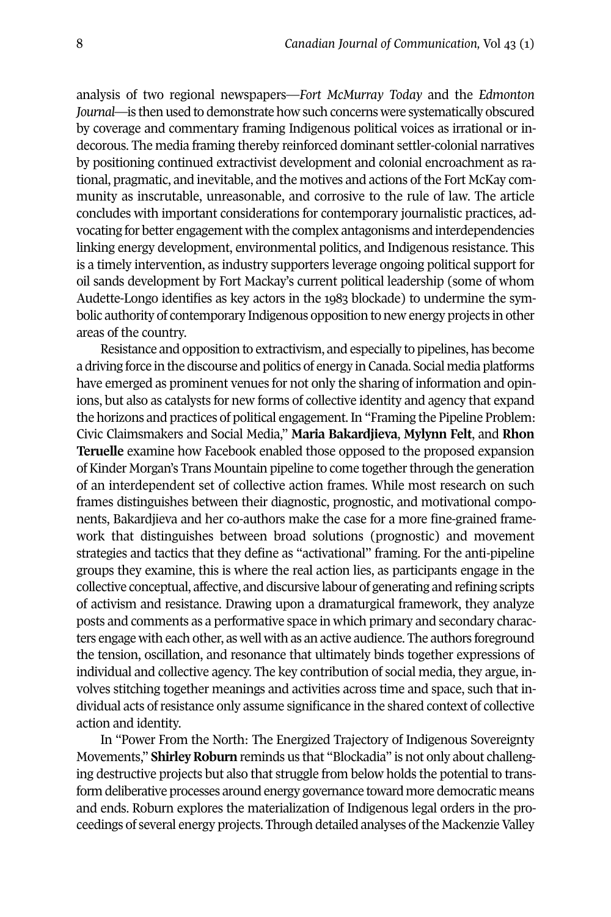analysis of two regional newspapers—*Fort McMurray Today* and the *Edmonton Journal*—is then used to demonstrate how such concerns were systematically obscured by coverage and commentary framing Indigenous political voices as irrational or indecorous. The media framing thereby reinforced dominant settler-colonial narratives by positioning continued extractivist development and colonial encroachment as rational, pragmatic, and inevitable, and the motives and actions of the Fort McKay community as inscrutable, unreasonable, and corrosive to the rule of law. The article concludes with important considerations for contemporary journalistic practices, advocating for better engagement with the complex antagonisms and interdependencies linking energy development, environmental politics, and Indigenous resistance. This is a timely intervention, as industry supporters leverage ongoing political support for oil sands development by Fort Mackay's current political leadership (some of whom Audette-Longo identifies as key actors in the 1983 blockade) to undermine the symbolic authority of contemporary Indigenous opposition to new energy projects in other areas of the country.

Resistance and opposition to extractivism, and especially to pipelines, has become a driving force in the discourse and politics of energy in Canada. Social media platforms have emerged as prominent venues for not only the sharing of information and opinions, but also as catalysts for new forms of collective identity and agency that expand the horizons and practices of political engagement.In "Framing the Pipeline Problem: Civic Claimsmakers and Social Media," **Maria Bakardjieva**, **Mylynn Felt**, and **Rhon Teruelle** examine how Facebook enabled those opposed to the proposed expansion of Kinder Morgan's Trans Mountain pipeline to come together through the generation of an interdependent set of collective action frames. While most research on such frames distinguishes between their diagnostic, prognostic, and motivational components, Bakardjieva and her co-authors make the case for a more fine-grained framework that distinguishes between broad solutions (prognostic) and movement strategies and tactics that they define as "activational" framing. For the anti-pipeline groups they examine, this is where the real action lies, as participants engage in the collective conceptual, affective, and discursive labour of generating and refining scripts of activism and resistance. Drawing upon a dramaturgical framework, they analyze posts and comments as a performative space in which primary and secondary characters engage with each other, as well with as an active audience. The authors foreground the tension, oscillation, and resonance that ultimately binds together expressions of individual and collective agency. The key contribution of social media, they argue, involves stitching together meanings and activities across time and space, such that individual acts ofresistance only assume significance in the shared context of collective action and identity.

In "Power From the North: The Energized Trajectory of Indigenous Sovereignty Movements," **Shirley Roburn** reminds us that "Blockadia" is not only about challenging destructive projects but also that struggle from below holds the potential to transform deliberative processes around energy governance toward more democratic means and ends. Roburn explores the materialization of Indigenous legal orders in the proceedings of several energy projects. Through detailed analyses of the Mackenzie Valley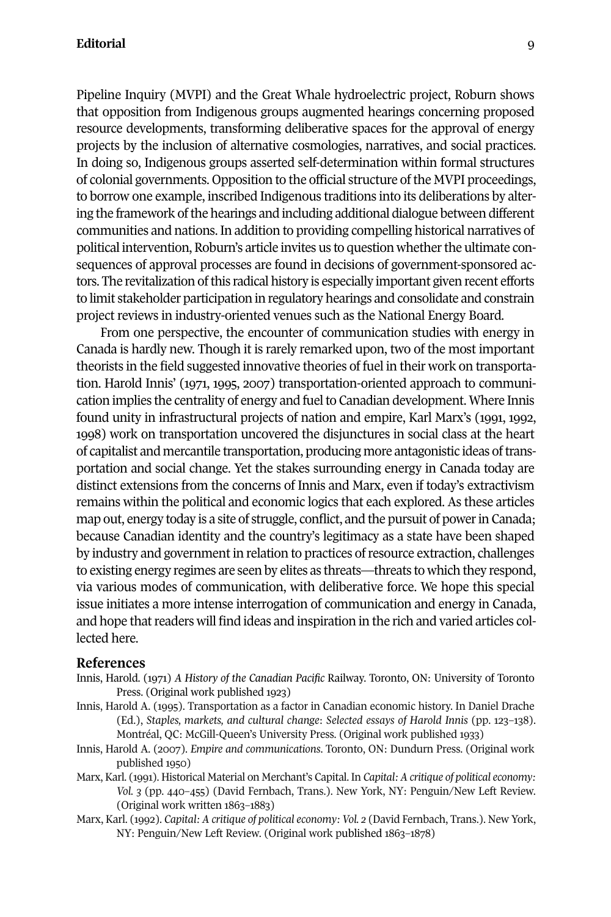Pipeline Inquiry (MVPI) and the Great Whale hydroelectric project, Roburn shows that opposition from Indigenous groups augmented hearings concerning proposed resource developments, transforming deliberative spaces for the approval of energy projects by the inclusion of alternative cosmologies, narratives, and social practices. In doing so, Indigenous groups asserted self-determination within formal structures of colonial governments. Opposition to the official structure ofthe MVPI proceedings, to borrow one example, inscribed Indigenous traditions into its deliberations by altering the framework ofthe hearings and including additional dialogue between different communities and nations. In addition to providing compelling historical narratives of political intervention, Roburn's article invites us to question whether the ultimate consequences of approval processes are found in decisions of government-sponsored actors. The revitalization ofthis radical history is especially important given recent efforts to limit stakeholder participation in regulatory hearings and consolidate and constrain project reviews in industry-oriented venues such as the National Energy Board.

From one perspective, the encounter of communication studies with energy in Canada is hardly new. Though it is rarely remarked upon, two of the most important theorists in the field suggested innovative theories of fuel in their work on transportation. Harold Innis' (1971, 1995, 2007) transportation-oriented approach to communication implies the centrality of energy and fuel to Canadian development. Where Innis found unity in infrastructural projects of nation and empire, Karl Marx's (1991, 1992, 1998) work on transportation uncovered the disjunctures in social class at the heart of capitalist and mercantile transportation, producing more antagonistic ideas oftransportation and social change. Yet the stakes surrounding energy in Canada today are distinct extensions from the concerns of Innis and Marx, even if today's extractivism remains within the political and economic logics that each explored. As these articles map out, energy today is a site of struggle, conflict, and the pursuit of powerin Canada; because Canadian identity and the country's legitimacy as a state have been shaped by industry and government in relation to practices ofresource extraction, challenges to existing energy regimes are seen by elites as threats—threats to which they respond, via various modes of communication, with deliberative force. We hope this special issue initiates a more intense interrogation of communication and energy in Canada, and hope that readers will find ideas and inspiration in the rich and varied articles collected here.

## **References**

- Innis, Harold. (1971) *A History of the Canadian Pacific* Railway. Toronto, ON: University of Toronto Press. (Original work published 1923)
- Innis, Harold A. (1995). Transportation as a factor in Canadian economic history. In Daniel Drache (Ed.), *Staples, markets, and cultural change*: *Selected essays of Harold Innis* (pp. 123–138). Montréal, QC: McGill-Queen's University Press. (Original work published 1933)
- Innis, Harold A. (2007). *Empire and communications*. Toronto, ON: Dundurn Press. (Original work published 1950)
- Marx, Karl. (1991). Historical Material on Merchant's Capital. In *Capital: A critique of political economy: Vol. 3* (pp. 440–455) (David Fernbach, Trans.). New York, NY: Penguin/New Left Review. (Original work written 1863–1883)
- Marx, Karl. (1992). *Capital: A critique of political economy: Vol. 2* (David Fernbach, Trans.). New York, NY: Penguin/New Left Review. (Original work published 1863–1878)